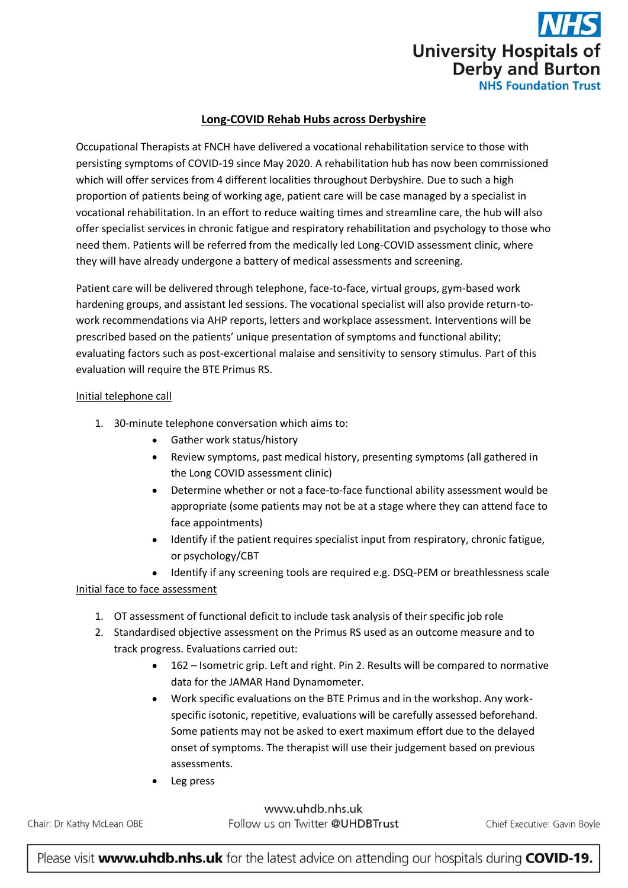

# **Long-COVID Rehab Hubs across Derbyshire**

Occupational Therapists at FNCH have delivered a vocational rehabilitation service to those with persisting symptoms of COVID-19 since May 2020. A rehabilitation hub has now been commissioned which will offer services from 4 different localities throughout Derbyshire. Due to such a high proportion of patients being of working age, patient care will be case managed by a specialist in vocational rehabilitation. In an effort to reduce waiting times and streamline care, the hub will also offer specialist services in chronic fatigue and respiratory rehabilitation and psychology to those who need them. Patients will be referred from the medically led Long-COVID assessment clinic, where they will have already undergone a battery of medical assessments and screening.

Patient care will be delivered through telephone, face-to-face, virtual groups, gym-based work hardening groups, and assistant led sessions. The vocational specialist will also provide return-towork recommendations via AHP reports, letters and workplace assessment. Interventions will be prescribed based on the patients' unique presentation of symptoms and functional ability; evaluating factors such as post-excertional malaise and sensitivity to sensory stimulus. Part of this evaluation will require the BTE Primus RS.

#### Initial telephone call

- 1. 30-minute telephone conversation which aims to:
	- Gather work status/history
	- Review symptoms, past medical history, presenting symptoms (all gathered in the Long COVID assessment clinic)
	- Determine whether or not a face-to-face functional ability assessment would be appropriate (some patients may not be at a stage where they can attend face to face appointments)
	- Identify if the patient requires specialist input from respiratory, chronic fatigue, or psychology/CBT
	- Identify if any screening tools are required e.g. DSQ-PEM or breathlessness scale

#### Initial face to face assessment

- 1. OT assessment of functional deficit to include task analysis of their specific job role
- 2. Standardised objective assessment on the Primus RS used as an outcome measure and to track progress. Evaluations carried out:
	- 162 Isometric grip. Left and right. Pin 2. Results will be compared to normative data for the JAMAR Hand Dynamometer.
	- Work specific evaluations on the BTE Primus and in the workshop. Any workspecific isotonic, repetitive, evaluations will be carefully assessed beforehand. Some patients may not be asked to exert maximum effort due to the delayed onset of symptoms. The therapist will use their judgement based on previous assessments.
	- Leg press

Chair: Dr Kathy McLean OBE

www.uhdb.nhs.uk Follow us on Twitter @UHDBTrust

Chief Executive: Gavin Boyle

Please visit www.uhdb.nhs.uk for the latest advice on attending our hospitals during COVID-19.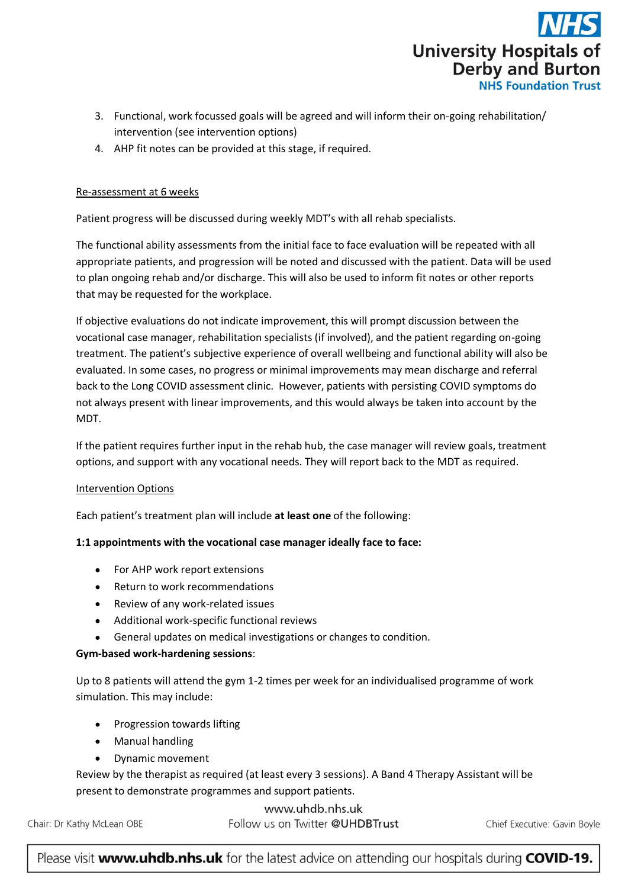

- 3. Functional, work focussed goals will be agreed and will inform their on-going rehabilitation/ intervention (see intervention options)
- 4. AHP fit notes can be provided at this stage, if required.

## Re-assessment at 6 weeks

Patient progress will be discussed during weekly MDT's with all rehab specialists.

The functional ability assessments from the initial face to face evaluation will be repeated with all appropriate patients, and progression will be noted and discussed with the patient. Data will be used to plan ongoing rehab and/or discharge. This will also be used to inform fit notes or other reports that may be requested for the workplace.

If objective evaluations do not indicate improvement, this will prompt discussion between the vocational case manager, rehabilitation specialists (if involved), and the patient regarding on-going treatment. The patient's subjective experience of overall wellbeing and functional ability will also be evaluated. In some cases, no progress or minimal improvements may mean discharge and referral back to the Long COVID assessment clinic. However, patients with persisting COVID symptoms do not always present with linear improvements, and this would always be taken into account by the MDT.

If the patient requires further input in the rehab hub, the case manager will review goals, treatment options, and support with any vocational needs. They will report back to the MDT as required.

#### Intervention Options

Each patient's treatment plan will include **at least one** of the following:

#### **1:1 appointments with the vocational case manager ideally face to face:**

- For AHP work report extensions
- Return to work recommendations
- Review of any work-related issues
- Additional work-specific functional reviews
- General updates on medical investigations or changes to condition.

#### **Gym-based work-hardening sessions**:

Up to 8 patients will attend the gym 1-2 times per week for an individualised programme of work simulation. This may include:

- Progression towards lifting
- Manual handling
- Dynamic movement  $\bullet$

Review by the therapist as required (at least every 3 sessions). A Band 4 Therapy Assistant will be present to demonstrate programmes and support patients.

www.uhdb.nhs.uk

Chair: Dr Kathy McLean OBE

Follow us on Twitter @UHDBTrust

Chief Executive: Gavin Boyle

Please visit www.uhdb.nhs.uk for the latest advice on attending our hospitals during COVID-19.